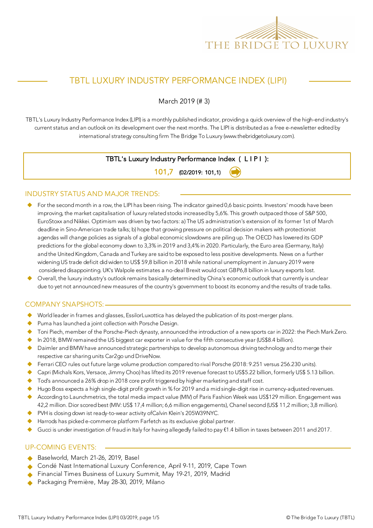

# TBTL LUXURY INDUSTRY PERFORMANCE INDEX (LIPI)

March 2019 (# 3)

TBTL's Luxury Industry Performance Index (LIPI) is a monthly published indicator, providing a quick overview of the high-end industry's current status and an outlook on its development over the next months. The LIPI is distributed as a free e-newsletter edited by international strategy consulting firm The Bridge To Luxury (www.thebridgetoluxury.com).

### TBTL's Luxury Industry Performance Index ( L I P I ):

101,7 (02/2019: 101,1)

#### INDUSTRY STATUS AND MAJOR TRENDS:

- For the second month in a row, the LIPI has been rising. The indicator gained 0,6 basic points. Investors' moods have been improving, the market capitalisation of luxury related stocks increased by 5,6%. This growth outpaced those of S&P 500, EuroStoxx and Nikkei. Optimism was driven by two factors: a) The US administration's extension of its former 1st of March deadline in Sino-American trade talks; b) hope that growing pressure on political decision makers with protectionist agendas will change policies as signals of a global economic slowdowns are piling up. The OECD has lowered its GDP predictions for the global economy down to 3,3% in 2019 and 3,4% in 2020. Particularly, the Euro area (Germany, Italy) and the United Kingdom, Canada and Turkey are said to be exposed to less positive developments. News on a further widening US trade deficit did widen to US\$ 59,8 billion in 2018 while national unemployment in January 2019 were considered disappointing. UK's Walpole estimates a no-deal Brexit would cost GBP6,8 billion in luxury exports lost.
- u Overall, the luxury industry's outlook remains basically determined by China's economic outlook that currently is unclear due to yet not announced new measures of the country's government to boost its economy and the results of trade talks.

#### COMPANY SNAPSHOTS:

- ◆ World leader in frames and glasses, EssilorLuxottica has delayed the publication of its post-merger plans.
- Puma has launched a joint collection with Porsche Design.
- Toni Piech, member of the Porsche-Piech dynasty, announced the introduction of a new sports car in 2022: the Piech Mark Zero.
- In 2018, BMW remained the US biggest car exporter in value for the fifth consecutive year (US\$8.4 billion).
- $\blacklozenge$  Daimler and BMW have announced strategic partnerships to develop autonomous driving technology and to merge their respective car sharing units Car2go und DriveNow.
- ◆ Ferrari CEO rules out future large volume production compared to rival Porsche (2018: 9.251 versus 256.230 units).
- Capri (Michals Kors, Versace, Jimmy Choo) has lifted its 2019 revenue forecast to US\$5.22 billion, formerly US\$ 5.13 billion.
- Tod's announced a 26% drop in 2018 core profit triggered by higher marketing and staff cost.
- Hugo Boss expects a high single-digit profit growth in % for 2019 and a mid single-digit rise in currency-adjusted revenues.
- According to Launchmetrics, the total media impact value (MIV) of Paris Fashion Week was US\$129 million. Engagement was 42,2 million. Dior scored best (MIV: US\$ 17,4 million; 6,6 million engagements), Chanel second (US\$ 11,2 million; 3,8 million).
- ◆ PVH is closing down ist ready-to-wear activity of Calvin Klein's 205W39NYC.
- Harrods has picked e-commerce platform Farfetch as its exclusive global partner.
- Gucci is under investigation of fraud in Italy for having allegedly failed to pay €1.4 billion in taxes between 2011 and 2017.

#### UP-COMING EVENTS:

- Baselworld, March 21-26, 2019, Basel
- Condé Nast International Luxury Conference, April 9-11, 2019, Cape Town
- Financial Times Business of Luxury Summit, May 19-21, 2019, Madrid
- Packaging Première, May 28-30, 2019, Milano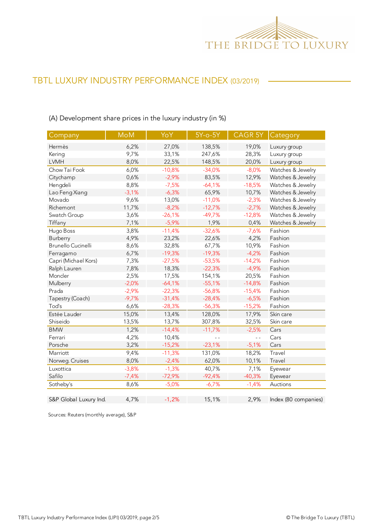

## (A) Development share prices in the luxury industry (in %)

| Company                   | <b>MoM</b> | YoY      | $5Y$ -o- $5Y$ | CAGR 5Y  | Category             |
|---------------------------|------------|----------|---------------|----------|----------------------|
| Hermès                    | 6,2%       | 27,0%    | 138,5%        | 19,0%    | Luxury group         |
| Kering                    | 9,7%       | 33,1%    | 247,6%        | 28,3%    | Luxury group         |
| <b>LVMH</b>               | 8,0%       | 22,5%    | 148,5%        | 20,0%    | Luxury group         |
| Chow Tai Fook             | 6,0%       | $-10,8%$ | $-34,0%$      | $-8,0%$  | Watches & Jewelry    |
| Citychamp                 | 0,6%       | $-2,9%$  | 83,5%         | 12,9%    | Watches & Jewelry    |
| Hengdeli                  | 8,8%       | $-7,5%$  | $-64,1%$      | $-18,5%$ | Watches & Jewelry    |
| Lao Feng Xiang            | $-3,1%$    | $-6,3%$  | 65,9%         | 10,7%    | Watches & Jewelry    |
| Movado                    | 9,6%       | 13,0%    | $-11,0%$      | $-2,3%$  | Watches & Jewelry    |
| Richemont                 | 11,7%      | $-8,2%$  | $-12,7%$      | $-2,7%$  | Watches & Jewelry    |
| Swatch Group              | 3,6%       | $-26,1%$ | $-49,7%$      | $-12,8%$ | Watches & Jewelry    |
| Tiffany                   | 7,1%       | $-5,9%$  | 1,9%          | 0,4%     | Watches & Jewelry    |
| Hugo Boss                 | 3,8%       | $-11,4%$ | $-32,6%$      | $-7,6%$  | Fashion              |
| Burberry                  | 4,9%       | 23,2%    | 22,6%         | 4,2%     | Fashion              |
| <b>Brunello Cucinelli</b> | 8,6%       | 32,8%    | 67,7%         | 10,9%    | Fashion              |
| Ferragamo                 | 6,7%       | $-19,3%$ | $-19,3%$      | $-4,2%$  | Fashion              |
| Capri (Michael Kors)      | 7,3%       | $-27,5%$ | $-53,5%$      | $-14,2%$ | Fashion              |
| Ralph Lauren              | 7,8%       | 18,3%    | $-22,3%$      | $-4,9%$  | Fashion              |
| Moncler                   | 2,5%       | 17,5%    | 154,1%        | 20,5%    | Fashion              |
| Mulberry                  | $-2,0%$    | $-64,1%$ | $-55,1%$      | $-14,8%$ | Fashion              |
| Prada                     | $-2,9%$    | $-22,3%$ | $-56,8%$      | $-15,4%$ | Fashion              |
| Tapestry (Coach)          | $-9,7%$    | $-31,4%$ | $-28,4%$      | $-6,5%$  | Fashion              |
| Tod's                     | 6,6%       | $-28,3%$ | $-56,3%$      | $-15,2%$ | Fashion              |
| Estée Lauder              | 15,0%      | 13,4%    | 128,0%        | 17,9%    | Skin care            |
| Shiseido                  | 13,5%      | 13,7%    | 307,8%        | 32,5%    | Skin care            |
| <b>BMW</b>                | 1,2%       | $-14,4%$ | $-11,7%$      | $-2,5%$  | Cars                 |
| Ferrari                   | 4,2%       | 10,4%    | $ -$          | $ -$     | Cars                 |
| Porsche                   | 3,2%       | $-15,2%$ | $-23,1%$      | $-5,1%$  | Cars                 |
| Marriott                  | 9,4%       | $-11,3%$ | 131,0%        | 18,2%    | Travel               |
| Norweg. Cruises           | 8,0%       | $-2,4%$  | 62,0%         | 10,1%    | Travel               |
| Luxottica                 | $-3,8%$    | $-1,3%$  | 40,7%         | 7,1%     | Eyewear              |
| Safilo                    | $-7,4%$    | $-72,9%$ | $-92,4%$      | $-40,3%$ | Eyewear              |
| Sotheby's                 | 8,6%       | $-5,0%$  | $-6,7%$       | $-1,4%$  | Auctions             |
| S&P Global Luxury Ind.    | 4,7%       | $-1,2%$  | 15,1%         | 2,9%     | Index (80 companies) |

Sources: Reuters (monthly average), S&P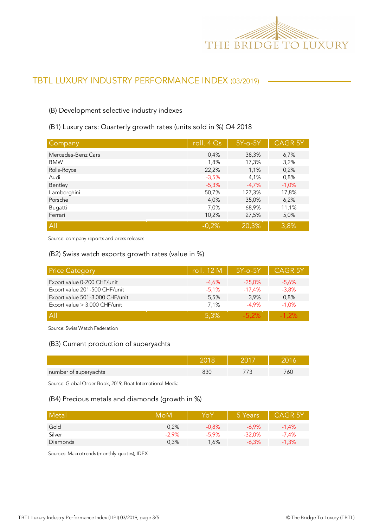

#### (B) Development selective industry indexes

# (B1) Luxury cars: Quarterly growth rates (units sold in %) Q4 2018

| Company            | roll. $4Qs$ | $5Y$ -o- $5Y$ | <b>CAGR 5Y</b> |
|--------------------|-------------|---------------|----------------|
| Mercedes-Benz Cars | 0,4%        | 38,3%         | 6,7%           |
| <b>BMW</b>         | 1,8%        | 17,3%         | 3,2%           |
| Rolls-Royce        | 22,2%       | 1,1%          | 0,2%           |
| Audi               | $-3,5%$     | 4,1%          | 0,8%           |
| Bentley            | $-5,3%$     | $-4.7%$       | $-1,0%$        |
| Lamborghini        | 50,7%       | 127,3%        | 17,8%          |
| Porsche            | 4,0%        | 35,0%         | 6,2%           |
| Bugatti            | 7,0%        | 68,9%         | 11,1%          |
| Ferrari            | 10,2%       | 27,5%         | 5,0%           |
| All                | $-0.2%$     | 20,3%         | 3,8%           |

Source: company reports and press releases

#### (B2) Swiss watch exports growth rates (value in %)

| <b>Price Category</b>           | roll. 12 M | $5Y$ -o- $5Y$ | <b>CAGR 5Y</b> |
|---------------------------------|------------|---------------|----------------|
| Export value 0-200 CHF/unit     | $-4.6%$    | $-25.0%$      | $-5.6\%$       |
| Export value 201-500 CHF/unit   | $-5.1%$    | $-17.4%$      | $-3.8%$        |
| Export value 501-3.000 CHF/unit | 5,5%       | 3.9%          | 0,8%           |
| Export value > 3.000 CHF/unit   | 7.1%       | $-4.9%$       | $-1.0%$        |
| A                               | 5.3%       | -5.2%         | $-1.2\%$       |

Source: Swiss Watch Federation

#### (B3) Current production of superyachts

| number of superyachts |  |  |
|-----------------------|--|--|

Source: Global Order Book, 2019, Boat International Media

#### (B4) Precious metals and diamonds (growth in %)

| Metal    | MoM      | YoY      | 5 Years  | <b>CAGR 5Y</b> |
|----------|----------|----------|----------|----------------|
| Gold     | 0.2%     | $-0.8%$  | $-6.9\%$ | $-1.4%$        |
| Silver   | $-2.9\%$ | $-5.9\%$ | $-32.0%$ | $-7.4\%$       |
| Diamonds | 0,3%     | 1,6%     | $-6.3%$  | $-1,3%$        |

Sources: Macrotrends (monthly quotes); IDEX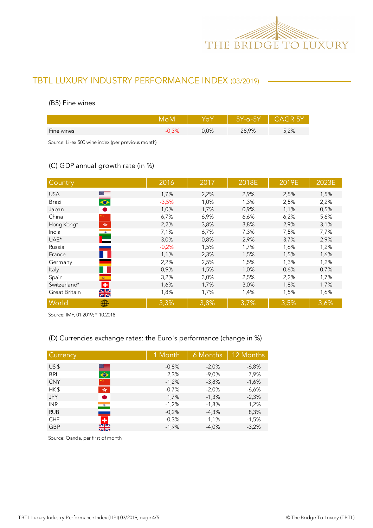

#### (B5) Fine wines

|            |      | Y-o-5Y | CAGR 5Y |
|------------|------|--------|---------|
| Fine wines | 0,0% | 28,9%  | 5,2%    |
|            |      |        |         |

Source: Li-ex 500 wine index (per previous month)

### (C) GDP annual growth rate (in %)

| Country                                                                             | 2016    | 2017 | 2018E | 2019E | 2023E |
|-------------------------------------------------------------------------------------|---------|------|-------|-------|-------|
| <b>USA</b>                                                                          | 1,7%    | 2,2% | 2,9%  | 2,5%  | 1,5%  |
| $\begin{array}{c} \bullet \end{array}$<br>Brazil                                    | $-3,5%$ | 1,0% | 1,3%  | 2,5%  | 2,2%  |
| Japan                                                                               | 1,0%    | 1,7% | 0,9%  | 1,1%  | 0,5%  |
| China                                                                               | 6,7%    | 6,9% | 6,6%  | 6,2%  | 5,6%  |
| Hong Kong*<br>$\mathcal{P}^{\mathcal{S}^{\mathcal{S}}}_{\mathcal{S}^{\mathcal{S}}}$ | 2,2%    | 3,8% | 3,8%  | 2,9%  | 3,1%  |
| India                                                                               | 7,1%    | 6,7% | 7,3%  | 7,5%  | 7,7%  |
| $\mathbf{E}$<br>UAE*                                                                | 3,0%    | 0,8% | 2,9%  | 3,7%  | 2,9%  |
| Russia                                                                              | $-0,2%$ | 1,5% | 1,7%  | 1,6%  | 1,2%  |
| France                                                                              | 1,1%    | 2,3% | 1,5%  | 1,5%  | 1,6%  |
| Germany                                                                             | 2,2%    | 2,5% | 1,5%  | 1,3%  | 1,2%  |
| Italy                                                                               | 0,9%    | 1,5% | 1,0%  | 0,6%  | 0,7%  |
| Spain<br>$\mathcal{R}^{\text{max}}$                                                 | 3,2%    | 3,0% | 2,5%  | 2,2%  | 1,7%  |
| ٠<br>Switzerland*                                                                   | 1,6%    | 1,7% | 3,0%  | 1,8%  | 1,7%  |
| $\frac{\sum x}{\sum x}$<br>Great Britain                                            | 1,8%    | 1,7% | 1,4%  | 1,5%  | 1,6%  |
| World<br>₩                                                                          | 3,3%    | 3,8% | 3,7%  | 3,5%  | 3,6%  |

Source: IMF, 01.2019; \* 10.2018

### (D) Currencies exchange rates: the Euro's performance (change in %)

| Currency        |                | 1 Month | 6 Months | 12 Months |
|-----------------|----------------|---------|----------|-----------|
| US <sub>5</sub> |                | $-0.8%$ | $-2.0%$  | $-6,8%$   |
| <b>BRL</b>      | $\blacksquare$ | 2,3%    | $-9,0%$  | 7,9%      |
| <b>CNY</b>      |                | $-1,2%$ | $-3,8%$  | $-1,6%$   |
| HK\$            | 幸              | $-0.7%$ | $-2,0%$  | $-6,6%$   |
| <b>JPY</b>      | D              | 1,7%    | $-1,3%$  | $-2,3%$   |
| <b>INR</b>      | $\bullet$      | $-1,2%$ | $-1,8%$  | 1,2%      |
| <b>RUB</b>      |                | $-0,2%$ | $-4,3%$  | 8,3%      |
| <b>CHF</b>      | ٠              | $-0,3%$ | 1,1%     | $-1,5%$   |
| <b>GBP</b>      | $\frac{N}{N}$  | $-1,9%$ | $-4.0%$  | $-3,2%$   |

Source: Oanda, per first of month